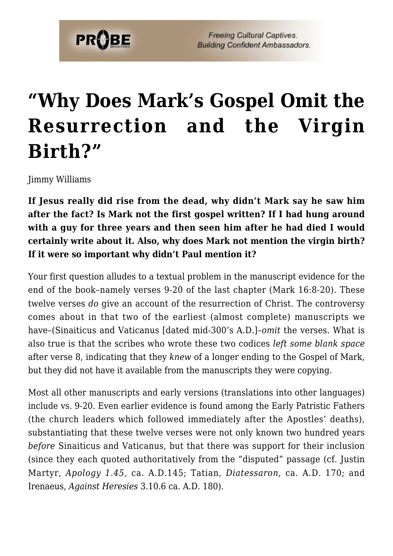

**Freeing Cultural Captives. Building Confident Ambassadors.** 

## **["Why Does Mark's Gospel Omit the](https://probe.org/why-does-marks-gospel-omit-the-resurrection-and-the-virgin-birth/) [Resurrection and the Virgin](https://probe.org/why-does-marks-gospel-omit-the-resurrection-and-the-virgin-birth/) [Birth?"](https://probe.org/why-does-marks-gospel-omit-the-resurrection-and-the-virgin-birth/)**

Jimmy Williams

**If Jesus really did rise from the dead, why didn't Mark say he saw him after the fact? Is Mark not the first gospel written? If I had hung around with a guy for three years and then seen him after he had died I would certainly write about it. Also, why does Mark not mention the virgin birth? If it were so important why didn't Paul mention it?**

Your first question alludes to a textual problem in the manuscript evidence for the end of the book–namely verses 9-20 of the last chapter (Mark 16:8-20). These twelve verses *do* give an account of the resurrection of Christ. The controversy comes about in that two of the earliest (almost complete) manuscripts we have–(Sinaiticus and Vaticanus [dated mid-300's A.D.]–*omit* the verses. What is also true is that the scribes who wrote these two codices *left some blank space* after verse 8, indicating that they *knew* of a longer ending to the Gospel of Mark, but they did not have it available from the manuscripts they were copying.

Most all other manuscripts and early versions (translations into other languages) include vs. 9-20. Even earlier evidence is found among the Early Patristic Fathers (the church leaders which followed immediately after the Apostles' deaths), substantiating that these twelve verses were not only known two hundred years *before* Sinaiticus and Vaticanus, but that there was support for their inclusion (since they each quoted authoritatively from the "disputed" passage (cf. Justin Martyr, *Apology 1.45,* ca. A.D.145; Tatian, *Diatessaron*, ca. A.D. 170; and Irenaeus, *Against Heresies* 3.10.6 ca. A.D. 180).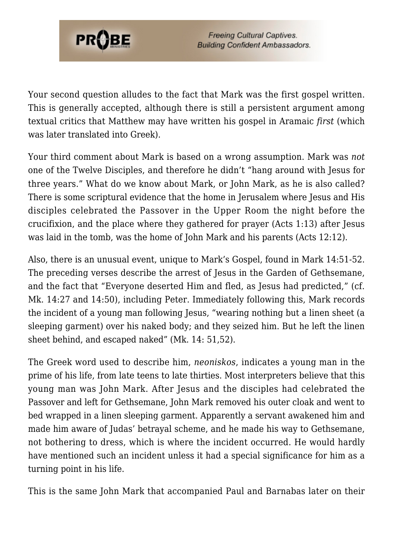

Your second question alludes to the fact that Mark was the first gospel written. This is generally accepted, although there is still a persistent argument among textual critics that Matthew may have written his gospel in Aramaic *first* (which was later translated into Greek).

Your third comment about Mark is based on a wrong assumption. Mark was *not* one of the Twelve Disciples, and therefore he didn't "hang around with Jesus for three years." What do we know about Mark, or John Mark, as he is also called? There is some scriptural evidence that the home in Jerusalem where Jesus and His disciples celebrated the Passover in the Upper Room the night before the crucifixion, and the place where they gathered for prayer (Acts 1:13) after Jesus was laid in the tomb, was the home of John Mark and his parents (Acts 12:12).

Also, there is an unusual event, unique to Mark's Gospel, found in Mark 14:51-52. The preceding verses describe the arrest of Jesus in the Garden of Gethsemane, and the fact that "Everyone deserted Him and fled, as Jesus had predicted," (cf. Mk. 14:27 and 14:50), including Peter. Immediately following this, Mark records the incident of a young man following Jesus, "wearing nothing but a linen sheet (a sleeping garment) over his naked body; and they seized him. But he left the linen sheet behind, and escaped naked" (Mk. 14: 51,52).

The Greek word used to describe him, *neoniskos*, indicates a young man in the prime of his life, from late teens to late thirties. Most interpreters believe that this young man was John Mark. After Jesus and the disciples had celebrated the Passover and left for Gethsemane, John Mark removed his outer cloak and went to bed wrapped in a linen sleeping garment. Apparently a servant awakened him and made him aware of Judas' betrayal scheme, and he made his way to Gethsemane, not bothering to dress, which is where the incident occurred. He would hardly have mentioned such an incident unless it had a special significance for him as a turning point in his life.

This is the same John Mark that accompanied Paul and Barnabas later on their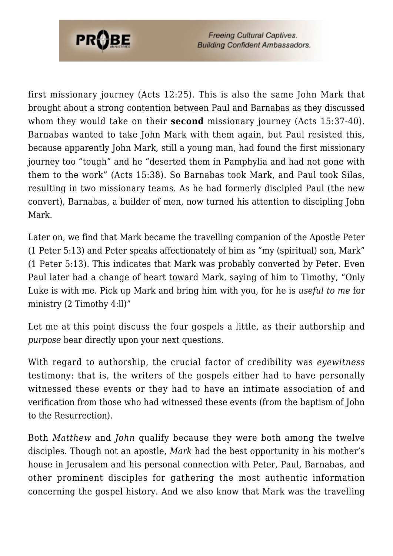

**Freeing Cultural Captives. Building Confident Ambassadors.** 

first missionary journey (Acts 12:25). This is also the same John Mark that brought about a strong contention between Paul and Barnabas as they discussed whom they would take on their **second** missionary journey (Acts 15:37-40). Barnabas wanted to take John Mark with them again, but Paul resisted this, because apparently John Mark, still a young man, had found the first missionary journey too "tough" and he "deserted them in Pamphylia and had not gone with them to the work" (Acts 15:38). So Barnabas took Mark, and Paul took Silas, resulting in two missionary teams. As he had formerly discipled Paul (the new convert), Barnabas, a builder of men, now turned his attention to discipling John Mark.

Later on, we find that Mark became the travelling companion of the Apostle Peter (1 Peter 5:13) and Peter speaks affectionately of him as "my (spiritual) son, Mark" (1 Peter 5:13). This indicates that Mark was probably converted by Peter. Even Paul later had a change of heart toward Mark, saying of him to Timothy, "Only Luke is with me. Pick up Mark and bring him with you, for he is *useful to me* for ministry  $(2$  Timothy  $4:1$ ])"

Let me at this point discuss the four gospels a little, as their authorship and *purpose* bear directly upon your next questions.

With regard to authorship, the crucial factor of credibility was *eyewitness* testimony: that is, the writers of the gospels either had to have personally witnessed these events or they had to have an intimate association of and verification from those who had witnessed these events (from the baptism of John to the Resurrection).

Both *Matthew* and *John* qualify because they were both among the twelve disciples. Though not an apostle, *Mark* had the best opportunity in his mother's house in Jerusalem and his personal connection with Peter, Paul, Barnabas, and other prominent disciples for gathering the most authentic information concerning the gospel history. And we also know that Mark was the travelling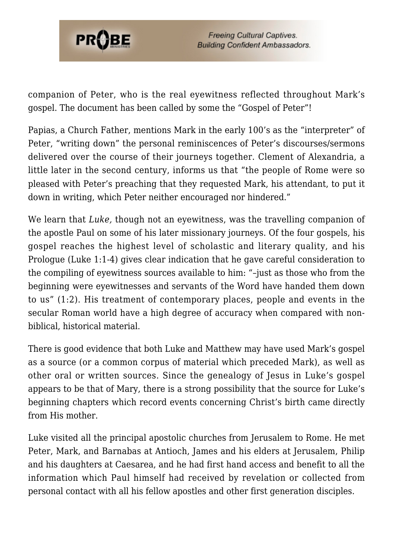

companion of Peter, who is the real eyewitness reflected throughout Mark's gospel. The document has been called by some the "Gospel of Peter"!

Papias, a Church Father, mentions Mark in the early 100's as the "interpreter" of Peter, "writing down" the personal reminiscences of Peter's discourses/sermons delivered over the course of their journeys together. Clement of Alexandria, a little later in the second century, informs us that "the people of Rome were so pleased with Peter's preaching that they requested Mark, his attendant, to put it down in writing, which Peter neither encouraged nor hindered."

We learn that *Luke,* though not an eyewitness, was the travelling companion of the apostle Paul on some of his later missionary journeys. Of the four gospels, his gospel reaches the highest level of scholastic and literary quality, and his Prologue (Luke 1:1-4) gives clear indication that he gave careful consideration to the compiling of eyewitness sources available to him: "–just as those who from the beginning were eyewitnesses and servants of the Word have handed them down to us" (1:2). His treatment of contemporary places, people and events in the secular Roman world have a high degree of accuracy when compared with nonbiblical, historical material.

There is good evidence that both Luke and Matthew may have used Mark's gospel as a source (or a common corpus of material which preceded Mark), as well as other oral or written sources. Since the genealogy of Jesus in Luke's gospel appears to be that of Mary, there is a strong possibility that the source for Luke's beginning chapters which record events concerning Christ's birth came directly from His mother.

Luke visited all the principal apostolic churches from Jerusalem to Rome. He met Peter, Mark, and Barnabas at Antioch, James and his elders at Jerusalem, Philip and his daughters at Caesarea, and he had first hand access and benefit to all the information which Paul himself had received by revelation or collected from personal contact with all his fellow apostles and other first generation disciples.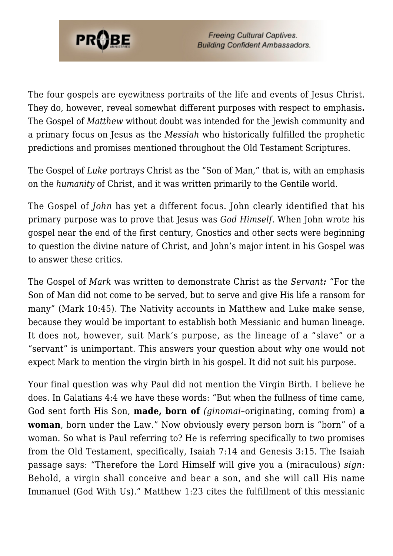

**Freeing Cultural Captives. Building Confident Ambassadors.** 

The four gospels are eyewitness portraits of the life and events of Jesus Christ. They do, however, reveal somewhat different purposes with respect to emphasis**.** The Gospel of *Matthew* without doubt was intended for the Jewish community and a primary focus on Jesus as the *Messiah* who historically fulfilled the prophetic predictions and promises mentioned throughout the Old Testament Scriptures.

The Gospel of *Luke* portrays Christ as the "Son of Man," that is, with an emphasis on the *humanity* of Christ, and it was written primarily to the Gentile world.

The Gospel of *John* has yet a different focus. John clearly identified that his primary purpose was to prove that Jesus was *God Himself*. When John wrote his gospel near the end of the first century, Gnostics and other sects were beginning to question the divine nature of Christ, and John's major intent in his Gospel was to answer these critics.

The Gospel of *Mark* was written to demonstrate Christ as the *Servant:* "For the Son of Man did not come to be served, but to serve and give His life a ransom for many" (Mark 10:45). The Nativity accounts in Matthew and Luke make sense, because they would be important to establish both Messianic and human lineage. It does not, however, suit Mark's purpose, as the lineage of a "slave" or a "servant" is unimportant. This answers your question about why one would not expect Mark to mention the virgin birth in his gospel. It did not suit his purpose.

Your final question was why Paul did not mention the Virgin Birth. I believe he does. In Galatians 4:4 we have these words: "But when the fullness of time came, God sent forth His Son, **made, born of** *(ginomai*–originating, coming from) **a woman**, born under the Law." Now obviously every person born is "born" of a woman. So what is Paul referring to? He is referring specifically to two promises from the Old Testament, specifically, Isaiah 7:14 and Genesis 3:15. The Isaiah passage says: "Therefore the Lord Himself will give you a (miraculous) *sign*: Behold, a virgin shall conceive and bear a son, and she will call His name Immanuel (God With Us)." Matthew 1:23 cites the fulfillment of this messianic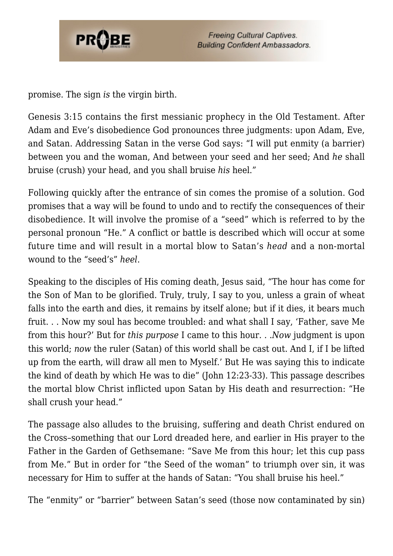

promise. The sign *is* the virgin birth.

Genesis 3:15 contains the first messianic prophecy in the Old Testament. After Adam and Eve's disobedience God pronounces three judgments: upon Adam, Eve, and Satan. Addressing Satan in the verse God says: "I will put enmity (a barrier) between you and the woman, And between your seed and her seed; And *he* shall bruise (crush) your head, and you shall bruise *his* heel."

Following quickly after the entrance of sin comes the promise of a solution. God promises that a way will be found to undo and to rectify the consequences of their disobedience. It will involve the promise of a "seed" which is referred to by the personal pronoun "He." A conflict or battle is described which will occur at some future time and will result in a mortal blow to Satan's *head* and a non-mortal wound to the "seed's" *heel*.

Speaking to the disciples of His coming death, Jesus said, "The hour has come for the Son of Man to be glorified. Truly, truly, I say to you, unless a grain of wheat falls into the earth and dies, it remains by itself alone; but if it dies, it bears much fruit. . . Now my soul has become troubled: and what shall I say, 'Father, save Me from this hour?' But for *this purpose* I came to this hour. . .*Now* judgment is upon this world; *now* the ruler (Satan) of this world shall be cast out. And I, if I be lifted up from the earth, will draw all men to Myself.' But He was saying this to indicate the kind of death by which He was to die" (John 12:23-33). This passage describes the mortal blow Christ inflicted upon Satan by His death and resurrection: "He shall crush your head."

The passage also alludes to the bruising, suffering and death Christ endured on the Cross–something that our Lord dreaded here, and earlier in His prayer to the Father in the Garden of Gethsemane: "Save Me from this hour; let this cup pass from Me." But in order for "the Seed of the woman" to triumph over sin, it was necessary for Him to suffer at the hands of Satan: "You shall bruise his heel."

The "enmity" or "barrier" between Satan's seed (those now contaminated by sin)